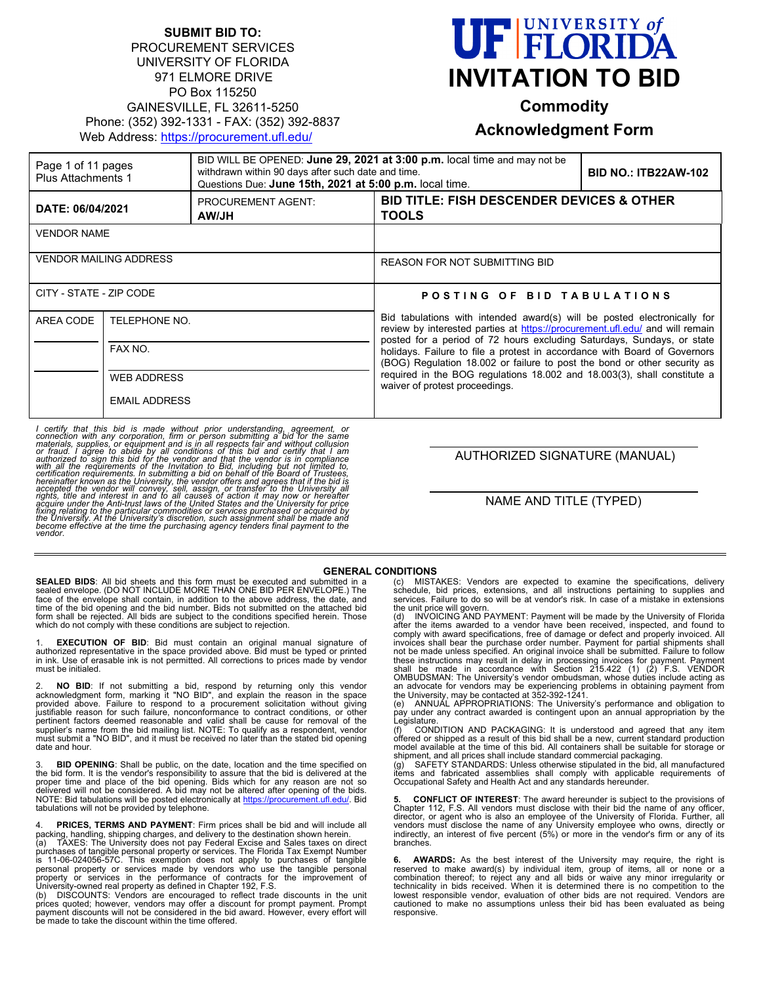### **SUBMIT BID TO:** PROCUREMENT SERVICES UNIVERSITY OF FLORIDA 971 ELMORE DRIVE PO Box 115250 GAINESVILLE, FL 32611-5250 Phone: (352) 392-1331 - FAX: (352) 392-8837 Web Address:<https://procurement.ufl.edu/>



**Commodity**

## **Acknowledgment Form**

| Page 1 of 11 pages<br>Plus Attachments 1 |                      | BID WILL BE OPENED: June 29, 2021 at 3:00 p.m. local time and may not be<br>withdrawn within 90 days after such date and time.<br>Questions Due: June 15th, 2021 at 5:00 p.m. local time. |                                                                                                                                                                                                                                                                                                                                                                                                                                                                                                           | <b>BID NO.: ITB22AW-102</b> |  |
|------------------------------------------|----------------------|-------------------------------------------------------------------------------------------------------------------------------------------------------------------------------------------|-----------------------------------------------------------------------------------------------------------------------------------------------------------------------------------------------------------------------------------------------------------------------------------------------------------------------------------------------------------------------------------------------------------------------------------------------------------------------------------------------------------|-----------------------------|--|
| DATE: 06/04/2021                         |                      | <b>PROCUREMENT AGENT:</b><br><b>AW/JH</b>                                                                                                                                                 | <b>BID TITLE: FISH DESCENDER DEVICES &amp; OTHER</b><br><b>TOOLS</b>                                                                                                                                                                                                                                                                                                                                                                                                                                      |                             |  |
| <b>VENDOR NAME</b>                       |                      |                                                                                                                                                                                           |                                                                                                                                                                                                                                                                                                                                                                                                                                                                                                           |                             |  |
| <b>VENDOR MAILING ADDRESS</b>            |                      |                                                                                                                                                                                           | <b>REASON FOR NOT SUBMITTING BID</b>                                                                                                                                                                                                                                                                                                                                                                                                                                                                      |                             |  |
| CITY - STATE - ZIP CODE                  |                      |                                                                                                                                                                                           | POSTING OF BID TABULATIONS                                                                                                                                                                                                                                                                                                                                                                                                                                                                                |                             |  |
| AREA CODE<br>TELEPHONE NO.               |                      |                                                                                                                                                                                           | Bid tabulations with intended award(s) will be posted electronically for<br>review by interested parties at https://procurement.ufl.edu/ and will remain<br>posted for a period of 72 hours excluding Saturdays, Sundays, or state<br>holidays. Failure to file a protest in accordance with Board of Governors<br>(BOG) Regulation 18.002 or failure to post the bond or other security as<br>required in the BOG requiations 18.002 and 18.003(3), shall constitute a<br>waiver of protest proceedings. |                             |  |
|                                          | FAX NO.              |                                                                                                                                                                                           |                                                                                                                                                                                                                                                                                                                                                                                                                                                                                                           |                             |  |
|                                          | <b>WEB ADDRESS</b>   |                                                                                                                                                                                           |                                                                                                                                                                                                                                                                                                                                                                                                                                                                                                           |                             |  |
|                                          | <b>EMAIL ADDRESS</b> |                                                                                                                                                                                           |                                                                                                                                                                                                                                                                                                                                                                                                                                                                                                           |                             |  |

I certify that this bid is made without prior understanding, agreement, or connection with any corporation, firm or person submitting a bid for the same materials, supplies, or equipment and is in all respects fair and wit accepted the vendor will convey, sell, assign, or transfer to the University all<br>rights, title and interest in and to all causes of action it may now or hereafter<br>acquire under the Anti-trust laws of the United States and

#### AUTHORIZED SIGNATURE (MANUAL)

NAME AND TITLE (TYPED)

#### **GENERAL CONDITIONS**

**SEALED BIDS**: All bid sheets and this form must be executed and submitted in a sealed envelope. (DO NOT INCLUDE MORE THAN ONE BID PER ENVELOPE.) The face of the envelope shall contain, in addition to the above address, the date, and<br>time of the bid opening and the bid number. Bids not submitted on the attached bid<br>form shall be rejected. All bids are subject to the con which do not comply with these conditions are subject to rejection.

1. **EXECUTION OF BID**: Bid must contain an original manual signature of<br>authorized representative in the space provided above. Bid must be typed or printed<br>in ink. Use of erasable ink is not permitted. All co must be initialed.

2. **NO BID**: If not submitting a bid, respond by returning only this vendor acknowledgment form, marking it "NO BID", and explain the reason in the space provided above. Failure to respond to a procurement solicitation wit pertinent factors deemed reasonable and valid shall be cause for removal of the<br>supplier's name from the bid mailing list. NOTE: To qualify as a respondent, vendor<br>must submit a "NO BID", and it must be received no later t date and hour.

**BID OPENING:** Shall be public, on the date, location and the time specified on the bid form. It is the vendor's responsibility to assure that the bid is delivered at the<br>proper time and place of the bid opening. Bids which for any reason are not so<br>delivered will not be considered. A bid may not be a NOTE: Bid tabulations will be posted electronically at <u>https://procurement.ufl.edu/</u>. Bid<br>tabulations will not be provided by telephone.

4. **PRICES, TERMS AND PAYMENT**: Firm prices shall be bid and will include all<br>packing, handling, shipping charges, and delivery to the destination shown herein.<br>(a) TAXES: The University does not pay Federal Excise and S

purchases of tangible personal property or services. The Florida Tax Exempt Number<br>is 11-06-024056-57C. This exemption does not apply to purchases of tangible<br>personal property or services made by vendors who use the tangi

(b) DISCOUNTS: Vendors are encouraged to reflect trade discounts in the unit prices quoted; however, vendors may offer a discount for prompt payment. Prompt payment discounts will not be considered in the bid award. However, every effort will be made to take the discount within the time offered.

(c) MISTAKES: Vendors are expected to examine the specifications, delivery schedule, bid prices, extensions, and all instructions pertaining to supplies and services. Failure to do so will be at vendor's risk. In case of a mistake in extensions

the unit price will govern. (d) INVOICING AND PAYMENT: Payment will be made by the University of Florida after the items awarded to a vendor have been received, inspected, and found to<br>comply with award specifications, free of damage or defect and properly invoiced. All<br>invoices shall bear the purchase order number. Payment f not be made unless specified. An original invoice shall be submitted. Failure to follow<br>these instructions may result in delay in processing invoices for payment. Payment<br>shall be made in accordance with Section 215.422 (1

pay under any contract awarded is contingent upon an annual appropriation by the Legislature<br>(f) CONI

(f) CONDITION AND PACKAGING: It is understood and agreed that any item offered or shipped as a result of this bid shall be a new, current standard production model available at the time of this bid. All containers shall be suitable for storage or

shipment, and all prices shall include standard commercial packaging.<br>(g) SAFETY STANDARDS: Unless otherwise stipulated in the bid, all manufactured<br>items and fabricated assemblies shall comply with applicable re

**5. CONFLICT OF INTEREST**: The award hereunder is subject to the provisions of<br>Chapter 112, F.S. All vendors must disclose with their bid the name of any officer, director, or agent who is also an employee of the University of Florida. Further, all vendors must disclose the name of any University employee who owns, directly or indirectly, an interest of five percent (5%) or more in the vendor's firm or any of its branches.

**6. AWARDS:** As the best interest of the University may require, the right is reserved to make award(s) by individual item, group of items, all or none or a<br>combination thereof; to reject any and all bids or waive any minor irregularity or<br>technicality in bids received. When it is determined there i lowest responsible vendor, evaluation of other bids are not required. Vendors are cautioned to make no assumptions unless their bid has been evaluated as being responsive.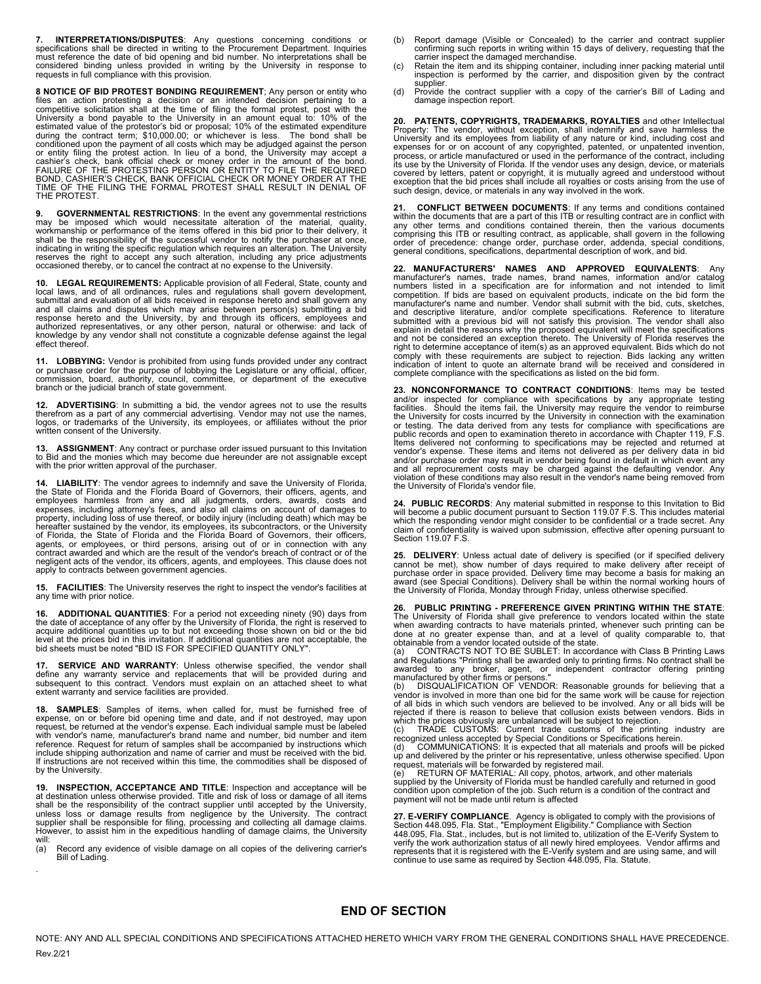**7. INTERPRETATIONS/DISPUTES**: Any questions concerning conditions or specifications shall be directed in writing to the Procurement Department. Inquiries must reference the date of bid opening and bid number. No interpretations shall be considered binding unless provided in writing by the University in response to requests in full compliance with this provision.

**8 NOTICE OF BID PROTEST BONDING REQUIREMENT**; Any person or entity who<br>files an action protesting a decision or an intended decision pertaining to a<br>competitive solicitation shall at the time of filing the formal protest, or entity filing the protest action. In lieu of a bond, the University may accept a<br>cashier's check, bank official check or money order in the amount of the bond.<br>FAILURE OF THE PROTESTING PERSON OR ENTITY TO FILE THE REQU THE PROTEST.

**9. GOVERNMENTAL RESTRICTIONS**: In the event any governmental restrictions<br>may be imposed which would necessitate alteration of the material, quality,<br>workmanship or performance of the items offered in this b shall be the responsibility of the successful vendor to notify the purchaser at once, indicating in writing the specific regulation which requires an alteration. The University<br>reserves the right to accept any such alteration, including any price adjustments<br>occasioned thereby, or to cancel the contract at

**10. LEGAL REQUIREMENTS:** Applicable provision of all Federal, State, county and local laws, and of all ordinances, rules and regulations shall govern development, submittal and evaluation of all bids received in response hereto and shall govern any and all claims and disputes which may arise between person(s) submitting a bid<br>response hereto and the University, by and through its officers, employees and<br>authorized representatives, or any other person, natural or othe effect thereof.

**11. LOBBYING:** Vendor is prohibited from using funds provided under any contract or purchase order for the purpose of lobbying the Legislature or any official, officer, commission, board, authority, council, committee, or department of the executive branch or the judicial branch of state government.

**12. ADVERTISING**: In submitting a bid, the vendor agrees not to use the results<br>therefrom as a part of any commercial advertising. Vendor may not use the names,<br>logos, or trademarks of the University, its employees, or written consent of the University.

**13. ASSIGNMENT**: Any contract or purchase order issued pursuant to this Invitation<br>to Bid and the monies which may become due hereunder are not assignable except<br>with the prior written approval of the purchaser.

**14. LIABILITY**: The vendor agrees to indemnify and save the University of Florida, the State of Florida and the Florida Board of Governors, their officers, agents, and employees harmless from any and all judgments, orders, awards, costs and expenses, including attorney's fees, and also all claims on account of damages to property, including loss of use thereof, or bodily injury (including death) which may be hereafter sustained by the vendor, its employees, its subcontractors, or the University of Florida, the State of Florida and the Florida Board of Governors, their officers, agents, or employees, or third persons, arising out of or in connection with any contract awarded and which are the result of the vendor's breach of contract or of the negligent acts of the vendor, its officers, agents, and employees. This clause does not apply to contracts between government agencies.

**15. FACILITIES**: The University reserves the right to inspect the vendor's facilities at any time with prior notice.

**16. ADDITIONAL QUANTITIES**: For a period not exceeding ninety (90) days from the date of acceptance of any offer by the University of Florida, the right is reserved to acquire additional quantities up to but not exceeding those shown on bid or the bid<br>level at the prices bid in this invitation. If additional quantities are not acceptable, the<br>bid sheets must be noted "BID IS FOR SPECIFIE

**SERVICE AND WARRANTY:** Unless otherwise specified, the vendor shall define any warranty service and replacements that will be provided during and<br>subsequent to this contract. Vendors must explain on an attached sheet to what<br>extent warranty and service facilities are provided.

**18. SAMPLES:** Samples of items, when called for, must be furnished free of expense, on or before bid opening time and date, and if not destroyed, may upon expense, be returned at the vendor's expense. Each individual samp include shipping authorization and name of carrier and must be received with the bid. If instructions are not received within this time, the commodities shall be disposed of by the University.

**19. INSPECTION, ACCEPTANCE AND TITLE**: Inspection and acceptance will be<br>at destination unless otherwise provided. Title and risk of loss or damage of all items<br>shall be the responsibility of the contract supplier until unless loss or damage results from negligence by the University. The contract<br>supplier shall be responsible for filing, processing and collecting all damage claims.<br>However, to assist him in the expeditious handling of dam

will:<br>(a) Record any evidence of visible damage on all copies of the delivering carrier's Bill of Lading.

.

- (b) Report damage (Visible or Concealed) to the carrier and contract supplier confirming such reports in writing within 15 days of delivery, requesting that the
- carrier inspect the damaged merchandise.<br>(c) Retain the item and its shipping container, including inner packing material until<br>inspection is performed by the carrier, and disposition given by the contract supplier.
- (d) Provide the contract supplier with a copy of the carrier's Bill of Lading and damage inspection report.

**20. PATENTS, COPYRIGHTS, TRADEMARKS, ROYALTIES** and other Intellectual<br>Property: The vendor, without exception, shall indemnify and save harmless the<br>University and its employees from liability of any nature or kind, incl expenses for or on account of any copyrighted, patented, or unpatented invention, process, or article manufactured or used in the performance of the contract, including its use by the University of Florida. If the vendor uses any design, device, or materials covered by letters, patent or copyright, it is mutually agreed and understood without exception that the bid prices shall include all royalties or costs arising from the use of such design, device, or materials in any way involved in the work.

**21. CONFLICT BETWEEN DOCUMENTS**: If any terms and conditions contained within the documents that are a part of this ITB or resulting contract are in conflict with any other terms and conditions contained therein, then the various documents<br>comprising this ITB or resulting contract, as applicable, shall govern in the following<br>order of precedence: change order, purchase order, addend general conditions, specifications, departmental description of work, and bid.

**22. MANUFACTURERS' NAMES AND APPROVED EQUIVALENTS**: Any manufacturer's names, trade names, brand names, information and/or catalog numbers listed in a specification are for information and not intended to limit competition. If bids are based on equivalent products, indicate on the bid form the manufacturer's name and number. Vendor shall submit with the bid, cuts, sketches,<br>and descriptive literature, and/or complete specifications. Reference to literature submitted with a previous bid will not satisfy this provision. The vendor shall also<br>explain in detail the reasons why the proposed equivalent will meet the specifications<br>and not be considered an exception thereto. The Un right to determine acceptance of item(s) as an approved equivalent. Bids which do not comply with these requirements are subject to rejection. Bids lacking any written indication of intent to quote an alternate brand will be received and considered in complete compliance with the specifications as listed on the bid form.

**23. NONCONFORMANCE TO CONTRACT CONDITIONS**: Items may be tested and/or inspected for compliance with specifications by any appropriate testing<br>facilities. Should the items fail, the University may require the vendor to reimburse<br>the University for costs incurred by the University in co or testing. The data derived from any tests for compliance with specifications are<br>public records and open to examination thereto in accordance with Chapter 119, F.S.<br>Items delivered not conforming to specifications may be vendor's expense. These items and items not delivered as per delivery data in bid<br>and/or purchase order may result in vendor being found in default in which event any<br>and all reprocurement costs may be charged against the violation of these conditions may also result in the vendor's name being removed from the University of Florida's vendor file.

**24. PUBLIC RECORDS**: Any material submitted in response to this Invitation to Bid<br>will become a public document pursuant to Section 119.07 F.S. This includes material<br>which the responding vendor might consider to be conf claim of confidentiality is waived upon submission, effective after opening pursuant to Section 119.07 F.S.

25. DELIVERY: Unless actual date of delivery is specified (or if specified delivery cannot be met), show number of days required to make delivery after receipt of purchase order in space provided. Delivery time may become

**26. PUBLIC PRINTING - PREFERENCE GIVEN PRINTING WITHIN THE STATE**: The University of Florida shall give preference to vendors located within the state when awarding contracts to have materials printed, whenever such printing can be done at no greater expense than, and at a level of quality comparable to, that

obtainable from a vendor located outside of the state.<br>
(a) CONTRACTS NOT TO BE SUBLET: In accordance with Class B Printing Laws<br>
and Regulations "Printing shall be awarded only to printing firms. No contract shall be<br>
awa

of all bids in which such vendors are believed to be involved. Any or all bids will be rejected if there is reason to believe that collusion exists between vendors. Bids in

which the prices obviously are unbalanced will be subject to rejection.<br>
(c) TRADE CUSTOMS: Current trade customs of the printing industry are<br>
recognized unless accepted by Special Conditions or Specifications herein.<br>
(d

condition upon completion of the job. Such return is a condition of the contract and payment will not be made until return is affected

**27. E-VERIFY COMPLIANCE**. Agency is obligated to comply with the provisions of<br>Section 448.095, Fla. Stat., "Employment Eligibility." Compliance with Section<br>448.095, Fla. Stat., includes, but is not limited to, utilizat verify the work authorization status of all newly hired employees. Vendor affirms and<br>represents that it is registered with the E-Verify system and are using same, and will<br>continue to use same as required by Section 448.

### **END OF SECTION**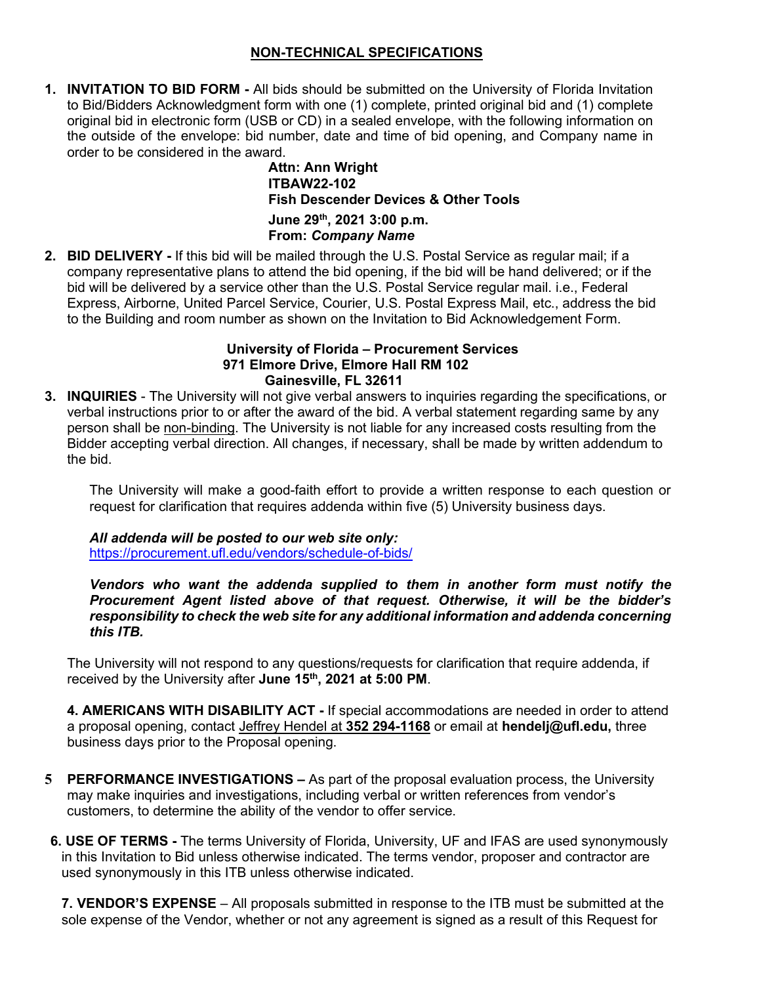# **NON-TECHNICAL SPECIFICATIONS**

**1. INVITATION TO BID FORM -** All bids should be submitted on the University of Florida Invitation to Bid/Bidders Acknowledgment form with one (1) complete, printed original bid and (1) complete original bid in electronic form (USB or CD) in a sealed envelope, with the following information on the outside of the envelope: bid number, date and time of bid opening, and Company name in order to be considered in the award.

> **Attn: Ann Wright ITBAW22-102 Fish Descender Devices & Other Tools June 29th, 2021 3:00 p.m. From:** *Company Name*

**2. BID DELIVERY -** If this bid will be mailed through the U.S. Postal Service as regular mail; if a company representative plans to attend the bid opening, if the bid will be hand delivered; or if the bid will be delivered by a service other than the U.S. Postal Service regular mail. i.e., Federal Express, Airborne, United Parcel Service, Courier, U.S. Postal Express Mail, etc., address the bid to the Building and room number as shown on the Invitation to Bid Acknowledgement Form.

### **University of Florida – Procurement Services 971 Elmore Drive, Elmore Hall RM 102 Gainesville, FL 32611**

**3. INQUIRIES** - The University will not give verbal answers to inquiries regarding the specifications, or verbal instructions prior to or after the award of the bid. A verbal statement regarding same by any person shall be non-binding. The University is not liable for any increased costs resulting from the Bidder accepting verbal direction. All changes, if necessary, shall be made by written addendum to the bid.

The University will make a good-faith effort to provide a written response to each question or request for clarification that requires addenda within five (5) University business days.

*All addenda will be posted to our web site only:*

<https://procurement.ufl.edu/vendors/schedule-of-bids/>

*Vendors who want the addenda supplied to them in another form must notify the Procurement Agent listed above of that request. Otherwise, it will be the bidder's responsibility to check the web site for any additional information and addenda concerning this ITB.*

The University will not respond to any questions/requests for clarification that require addenda, if received by the University after **June 15th, 2021 at 5:00 PM**.

**4. AMERICANS WITH DISABILITY ACT -** If special accommodations are needed in order to attend a proposal opening, contact Jeffrey Hendel at **352 294-1168** or email at **hendelj@ufl.edu,** three business days prior to the Proposal opening.

- **5 PERFORMANCE INVESTIGATIONS –** As part of the proposal evaluation process, the University may make inquiries and investigations, including verbal or written references from vendor's customers, to determine the ability of the vendor to offer service.
- **6. USE OF TERMS -** The terms University of Florida, University, UF and IFAS are used synonymously in this Invitation to Bid unless otherwise indicated. The terms vendor, proposer and contractor are used synonymously in this ITB unless otherwise indicated.

**7. VENDOR'S EXPENSE** – All proposals submitted in response to the ITB must be submitted at the sole expense of the Vendor, whether or not any agreement is signed as a result of this Request for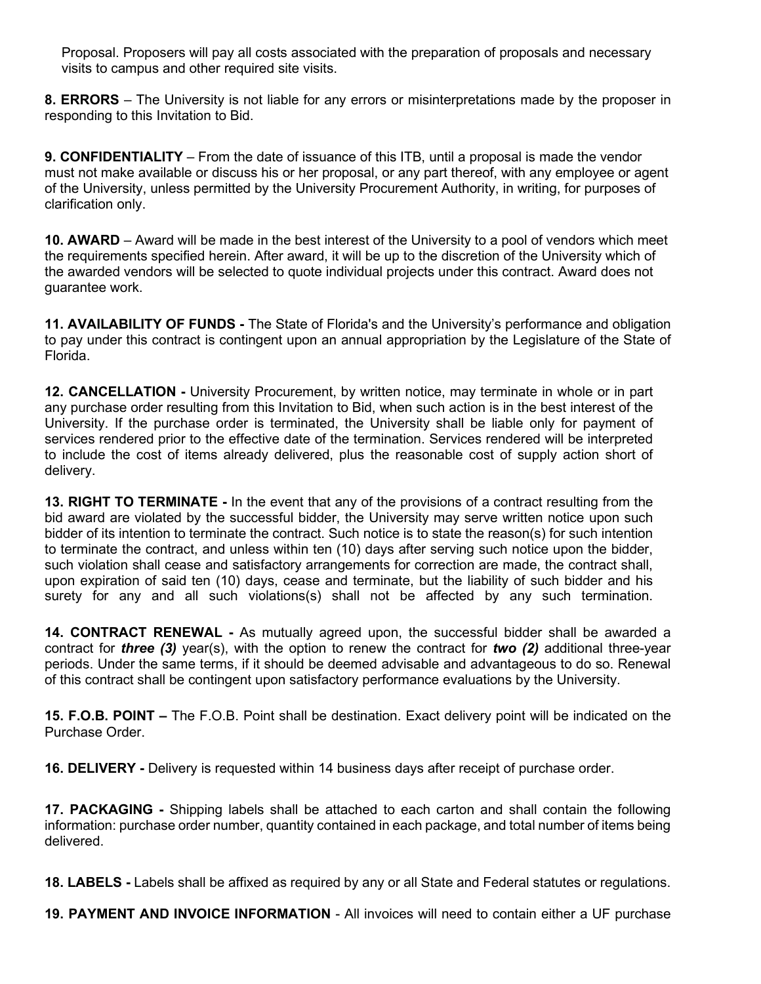Proposal. Proposers will pay all costs associated with the preparation of proposals and necessary visits to campus and other required site visits.

**8. ERRORS** – The University is not liable for any errors or misinterpretations made by the proposer in responding to this Invitation to Bid.

**9. CONFIDENTIALITY** – From the date of issuance of this ITB, until a proposal is made the vendor must not make available or discuss his or her proposal, or any part thereof, with any employee or agent of the University, unless permitted by the University Procurement Authority, in writing, for purposes of clarification only.

**10. AWARD** – Award will be made in the best interest of the University to a pool of vendors which meet the requirements specified herein. After award, it will be up to the discretion of the University which of the awarded vendors will be selected to quote individual projects under this contract. Award does not guarantee work.

**11. AVAILABILITY OF FUNDS -** The State of Florida's and the University's performance and obligation to pay under this contract is contingent upon an annual appropriation by the Legislature of the State of Florida.

**12. CANCELLATION -** University Procurement, by written notice, may terminate in whole or in part any purchase order resulting from this Invitation to Bid, when such action is in the best interest of the University. If the purchase order is terminated, the University shall be liable only for payment of services rendered prior to the effective date of the termination. Services rendered will be interpreted to include the cost of items already delivered, plus the reasonable cost of supply action short of delivery.

**13. RIGHT TO TERMINATE -** In the event that any of the provisions of a contract resulting from the bid award are violated by the successful bidder, the University may serve written notice upon such bidder of its intention to terminate the contract. Such notice is to state the reason(s) for such intention to terminate the contract, and unless within ten (10) days after serving such notice upon the bidder, such violation shall cease and satisfactory arrangements for correction are made, the contract shall, upon expiration of said ten (10) days, cease and terminate, but the liability of such bidder and his surety for any and all such violations(s) shall not be affected by any such termination.

**14. CONTRACT RENEWAL -** As mutually agreed upon, the successful bidder shall be awarded a contract for *three (3)* year(s), with the option to renew the contract for *two (2)* additional three-year periods. Under the same terms, if it should be deemed advisable and advantageous to do so. Renewal of this contract shall be contingent upon satisfactory performance evaluations by the University.

**15. F.O.B. POINT –** The F.O.B. Point shall be destination. Exact delivery point will be indicated on the Purchase Order.

**16. DELIVERY -** Delivery is requested within 14 business days after receipt of purchase order.

**17. PACKAGING -** Shipping labels shall be attached to each carton and shall contain the following information: purchase order number, quantity contained in each package, and total number of items being delivered.

**18. LABELS -** Labels shall be affixed as required by any or all State and Federal statutes or regulations.

**19. PAYMENT AND INVOICE INFORMATION** - All invoices will need to contain either a UF purchase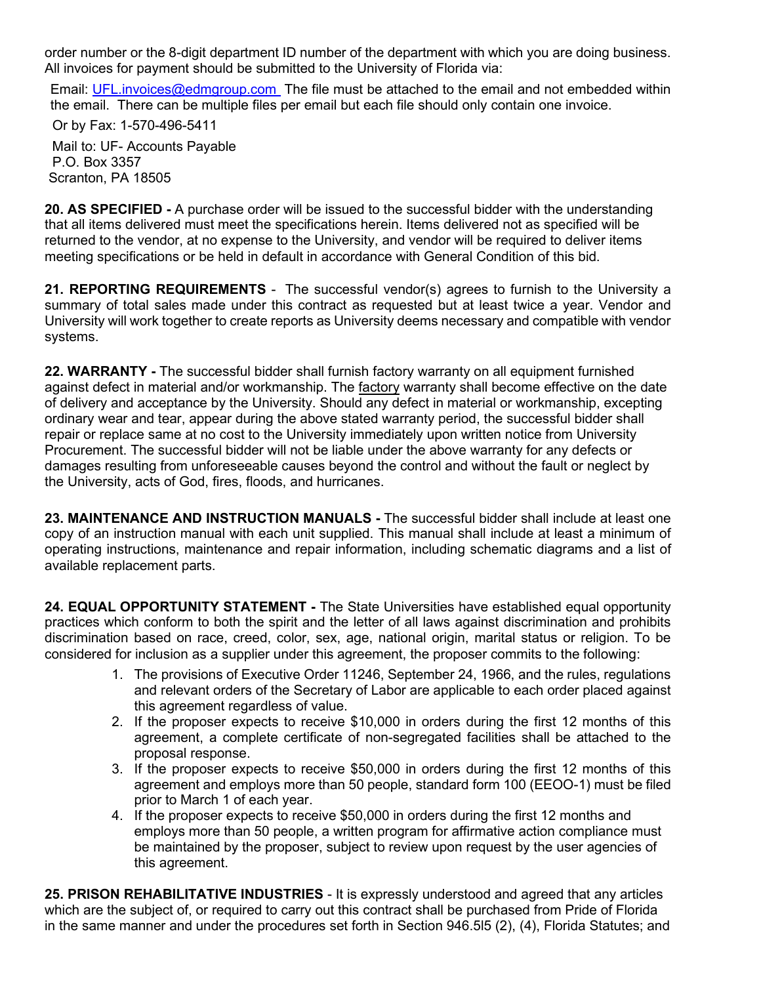order number or the 8-digit department ID number of the department with which you are doing business. All invoices for payment should be submitted to the University of Florida via:

Email: UFL.invoices@edmgroup.com The file must be attached to the email and not embedded within the email. There can be multiple files per email but each file should only contain one invoice.

 Or by Fax: 1-570-496-5411 Mail to: UF- Accounts Payable P.O. Box 3357 Scranton, PA 18505

**20. AS SPECIFIED -** A purchase order will be issued to the successful bidder with the understanding that all items delivered must meet the specifications herein. Items delivered not as specified will be returned to the vendor, at no expense to the University, and vendor will be required to deliver items meeting specifications or be held in default in accordance with General Condition of this bid.

**21. REPORTING REQUIREMENTS** - The successful vendor(s) agrees to furnish to the University a summary of total sales made under this contract as requested but at least twice a year. Vendor and University will work together to create reports as University deems necessary and compatible with vendor systems.

**22. WARRANTY -** The successful bidder shall furnish factory warranty on all equipment furnished against defect in material and/or workmanship. The factory warranty shall become effective on the date of delivery and acceptance by the University. Should any defect in material or workmanship, excepting ordinary wear and tear, appear during the above stated warranty period, the successful bidder shall repair or replace same at no cost to the University immediately upon written notice from University Procurement. The successful bidder will not be liable under the above warranty for any defects or damages resulting from unforeseeable causes beyond the control and without the fault or neglect by the University, acts of God, fires, floods, and hurricanes.

**23. MAINTENANCE AND INSTRUCTION MANUALS -** The successful bidder shall include at least one copy of an instruction manual with each unit supplied. This manual shall include at least a minimum of operating instructions, maintenance and repair information, including schematic diagrams and a list of available replacement parts.

**24. EQUAL OPPORTUNITY STATEMENT -** The State Universities have established equal opportunity practices which conform to both the spirit and the letter of all laws against discrimination and prohibits discrimination based on race, creed, color, sex, age, national origin, marital status or religion. To be considered for inclusion as a supplier under this agreement, the proposer commits to the following:

- 1. The provisions of Executive Order 11246, September 24, 1966, and the rules, regulations and relevant orders of the Secretary of Labor are applicable to each order placed against this agreement regardless of value.
- 2. If the proposer expects to receive \$10,000 in orders during the first 12 months of this agreement, a complete certificate of non-segregated facilities shall be attached to the proposal response.
- 3. If the proposer expects to receive \$50,000 in orders during the first 12 months of this agreement and employs more than 50 people, standard form 100 (EEOO-1) must be filed prior to March 1 of each year.
- 4. If the proposer expects to receive \$50,000 in orders during the first 12 months and employs more than 50 people, a written program for affirmative action compliance must be maintained by the proposer, subject to review upon request by the user agencies of this agreement.

**25. PRISON REHABILITATIVE INDUSTRIES** - It is expressly understood and agreed that any articles which are the subject of, or required to carry out this contract shall be purchased from Pride of Florida in the same manner and under the procedures set forth in Section 946.5l5 (2), (4), Florida Statutes; and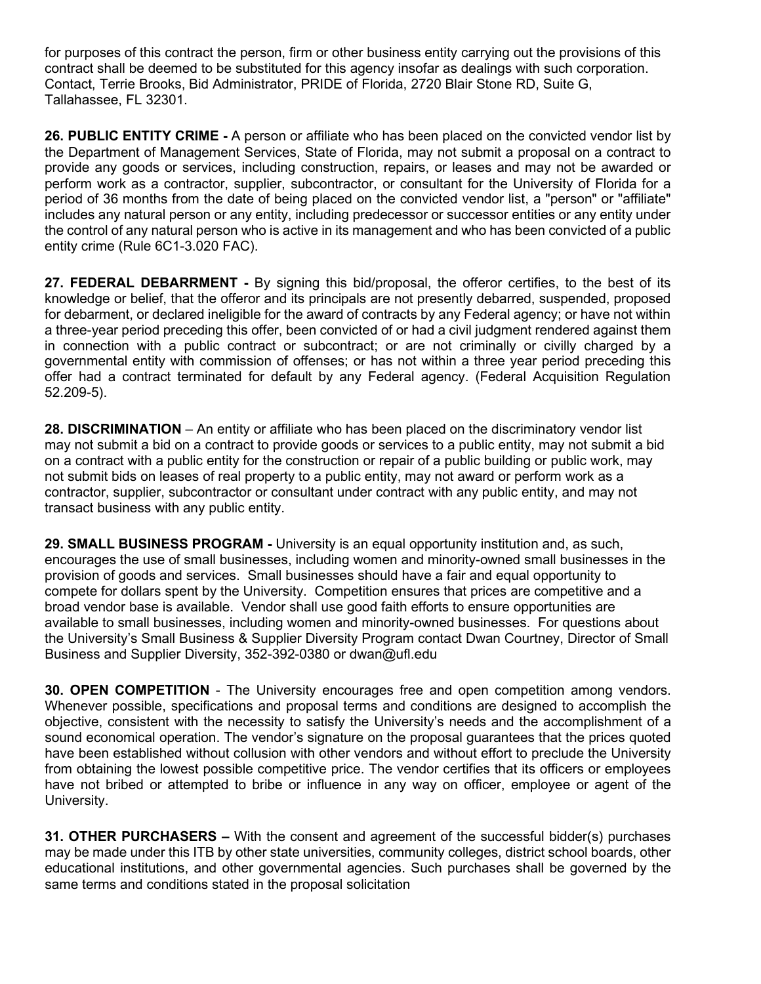for purposes of this contract the person, firm or other business entity carrying out the provisions of this contract shall be deemed to be substituted for this agency insofar as dealings with such corporation. Contact, Terrie Brooks, Bid Administrator, PRIDE of Florida, 2720 Blair Stone RD, Suite G, Tallahassee, FL 32301.

**26. PUBLIC ENTITY CRIME -** A person or affiliate who has been placed on the convicted vendor list by the Department of Management Services, State of Florida, may not submit a proposal on a contract to provide any goods or services, including construction, repairs, or leases and may not be awarded or perform work as a contractor, supplier, subcontractor, or consultant for the University of Florida for a period of 36 months from the date of being placed on the convicted vendor list, a "person" or "affiliate" includes any natural person or any entity, including predecessor or successor entities or any entity under the control of any natural person who is active in its management and who has been convicted of a public entity crime (Rule 6C1-3.020 FAC).

**27. FEDERAL DEBARRMENT -** By signing this bid/proposal, the offeror certifies, to the best of its knowledge or belief, that the offeror and its principals are not presently debarred, suspended, proposed for debarment, or declared ineligible for the award of contracts by any Federal agency; or have not within a three-year period preceding this offer, been convicted of or had a civil judgment rendered against them in connection with a public contract or subcontract; or are not criminally or civilly charged by a governmental entity with commission of offenses; or has not within a three year period preceding this offer had a contract terminated for default by any Federal agency. (Federal Acquisition Regulation 52.209-5).

**28. DISCRIMINATION** – An entity or affiliate who has been placed on the discriminatory vendor list may not submit a bid on a contract to provide goods or services to a public entity, may not submit a bid on a contract with a public entity for the construction or repair of a public building or public work, may not submit bids on leases of real property to a public entity, may not award or perform work as a contractor, supplier, subcontractor or consultant under contract with any public entity, and may not transact business with any public entity.

**29. SMALL BUSINESS PROGRAM -** University is an equal opportunity institution and, as such, encourages the use of small businesses, including women and minority-owned small businesses in the provision of goods and services. Small businesses should have a fair and equal opportunity to compete for dollars spent by the University. Competition ensures that prices are competitive and a broad vendor base is available. Vendor shall use good faith efforts to ensure opportunities are available to small businesses, including women and minority-owned businesses. For questions about the University's Small Business & Supplier Diversity Program contact Dwan Courtney, Director of Small Business and Supplier Diversity, 352-392-0380 or dwan@ufl.edu

**30. OPEN COMPETITION** - The University encourages free and open competition among vendors. Whenever possible, specifications and proposal terms and conditions are designed to accomplish the objective, consistent with the necessity to satisfy the University's needs and the accomplishment of a sound economical operation. The vendor's signature on the proposal guarantees that the prices quoted have been established without collusion with other vendors and without effort to preclude the University from obtaining the lowest possible competitive price. The vendor certifies that its officers or employees have not bribed or attempted to bribe or influence in any way on officer, employee or agent of the University.

**31. OTHER PURCHASERS –** With the consent and agreement of the successful bidder(s) purchases may be made under this ITB by other state universities, community colleges, district school boards, other educational institutions, and other governmental agencies. Such purchases shall be governed by the same terms and conditions stated in the proposal solicitation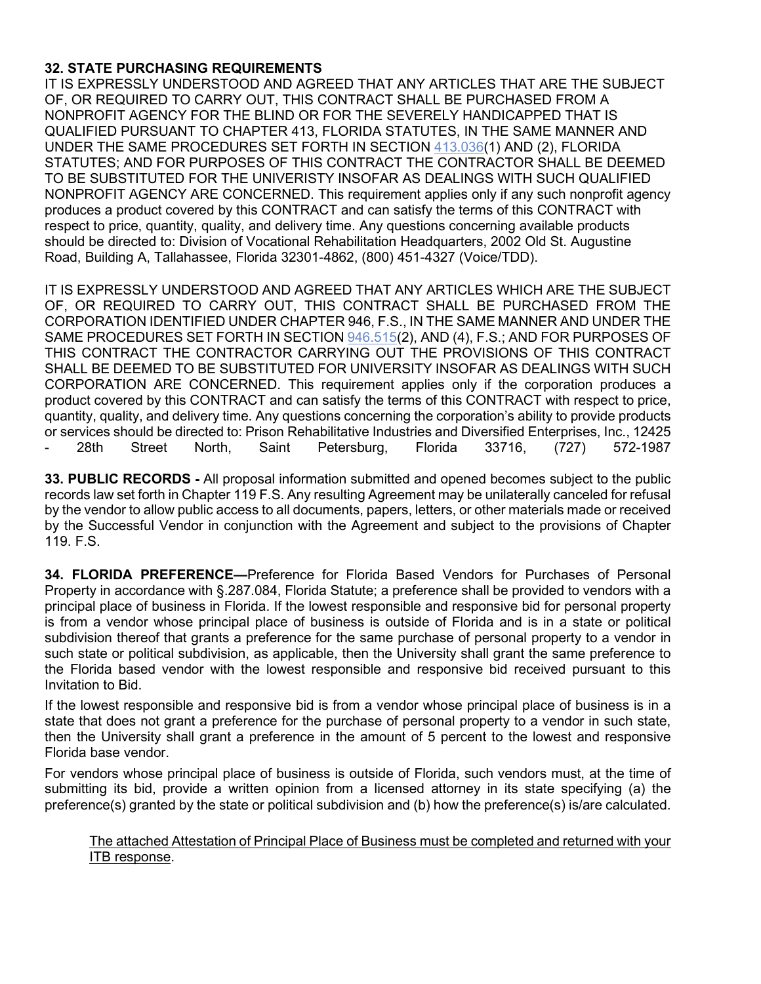# **32. STATE PURCHASING REQUIREMENTS**

IT IS EXPRESSLY UNDERSTOOD AND AGREED THAT ANY ARTICLES THAT ARE THE SUBJECT OF, OR REQUIRED TO CARRY OUT, THIS CONTRACT SHALL BE PURCHASED FROM A NONPROFIT AGENCY FOR THE BLIND OR FOR THE SEVERELY HANDICAPPED THAT IS QUALIFIED PURSUANT TO CHAPTER 413, FLORIDA STATUTES, IN THE SAME MANNER AND UNDER THE SAME PROCEDURES SET FORTH IN SECTION [413.036\(](http://www.leg.state.fl.us/STATUTES/index.cfm?App_mode=Display_Statute&Search_String=&URL=Ch0413/Sec036.HTM)1) AND (2), FLORIDA STATUTES; AND FOR PURPOSES OF THIS CONTRACT THE CONTRACTOR SHALL BE DEEMED TO BE SUBSTITUTED FOR THE UNIVERISTY INSOFAR AS DEALINGS WITH SUCH QUALIFIED NONPROFIT AGENCY ARE CONCERNED. This requirement applies only if any such nonprofit agency produces a product covered by this CONTRACT and can satisfy the terms of this CONTRACT with respect to price, quantity, quality, and delivery time. Any questions concerning available products should be directed to: Division of Vocational Rehabilitation Headquarters, 2002 Old St. Augustine Road, Building A, Tallahassee, Florida 32301-4862, (800) 451-4327 (Voice/TDD).

IT IS EXPRESSLY UNDERSTOOD AND AGREED THAT ANY ARTICLES WHICH ARE THE SUBJECT OF, OR REQUIRED TO CARRY OUT, THIS CONTRACT SHALL BE PURCHASED FROM THE CORPORATION IDENTIFIED UNDER CHAPTER 946, F.S., IN THE SAME MANNER AND UNDER THE SAME PROCEDURES SET FORTH IN SECTIO[N 946.515\(](http://www.leg.state.fl.us/STATUTES/index.cfm?App_mode=Display_Statute&Search_String=&URL=Ch0946/Sec515.HTM)2), AND (4), F.S.; AND FOR PURPOSES OF THIS CONTRACT THE CONTRACTOR CARRYING OUT THE PROVISIONS OF THIS CONTRACT SHALL BE DEEMED TO BE SUBSTITUTED FOR UNIVERSITY INSOFAR AS DEALINGS WITH SUCH CORPORATION ARE CONCERNED. This requirement applies only if the corporation produces a product covered by this CONTRACT and can satisfy the terms of this CONTRACT with respect to price, quantity, quality, and delivery time. Any questions concerning the corporation's ability to provide products or services should be directed to: Prison Rehabilitative Industries and Diversified Enterprises, Inc., 12425 28th Street North, Saint Petersburg, Florida 33716, (727) 572-1987

**33. PUBLIC RECORDS -** All proposal information submitted and opened becomes subject to the public records law set forth in Chapter 119 F.S. Any resulting Agreement may be unilaterally canceled for refusal by the vendor to allow public access to all documents, papers, letters, or other materials made or received by the Successful Vendor in conjunction with the Agreement and subject to the provisions of Chapter 119. F.S.

**34. FLORIDA PREFERENCE—**Preference for Florida Based Vendors for Purchases of Personal Property in accordance with §.287.084, Florida Statute; a preference shall be provided to vendors with a principal place of business in Florida. If the lowest responsible and responsive bid for personal property is from a vendor whose principal place of business is outside of Florida and is in a state or political subdivision thereof that grants a preference for the same purchase of personal property to a vendor in such state or political subdivision, as applicable, then the University shall grant the same preference to the Florida based vendor with the lowest responsible and responsive bid received pursuant to this Invitation to Bid.

If the lowest responsible and responsive bid is from a vendor whose principal place of business is in a state that does not grant a preference for the purchase of personal property to a vendor in such state, then the University shall grant a preference in the amount of 5 percent to the lowest and responsive Florida base vendor.

For vendors whose principal place of business is outside of Florida, such vendors must, at the time of submitting its bid, provide a written opinion from a licensed attorney in its state specifying (a) the preference(s) granted by the state or political subdivision and (b) how the preference(s) is/are calculated.

### The attached Attestation of Principal Place of Business must be completed and returned with your ITB response.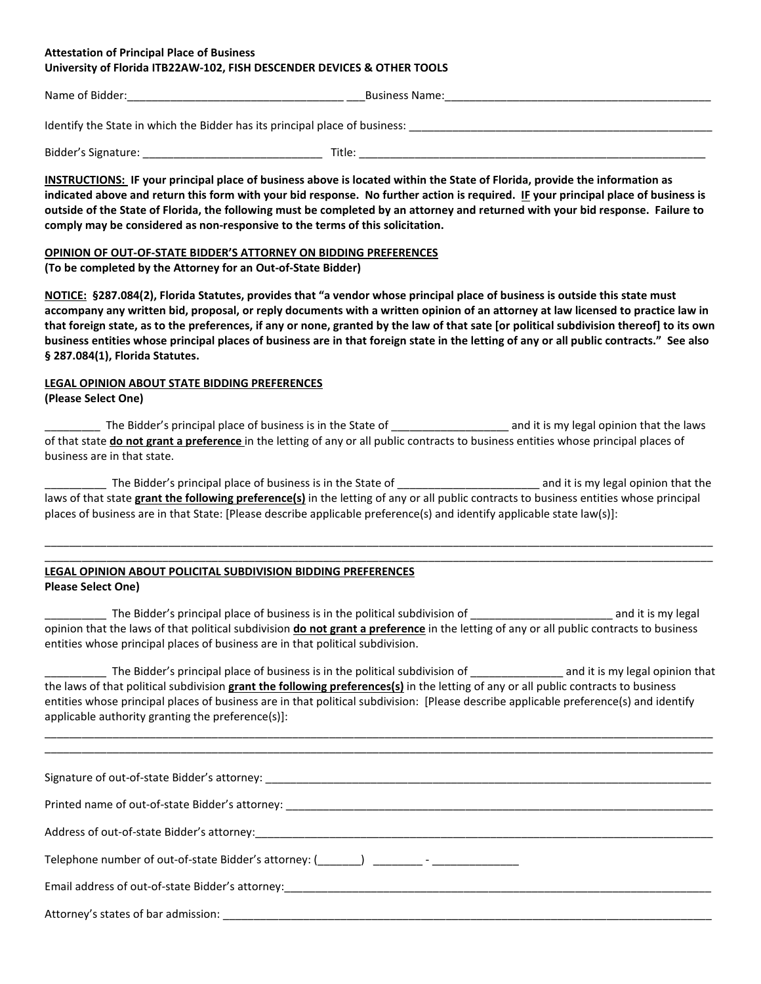#### **Attestation of Principal Place of Business University of Florida ITB22AW-102, FISH DESCENDER DEVICES & OTHER TOOLS**

| Name of Bidder:                                                             | <b>Business Name:</b> |  |  |  |  |  |  |
|-----------------------------------------------------------------------------|-----------------------|--|--|--|--|--|--|
| Identify the State in which the Bidder has its principal place of business: |                       |  |  |  |  |  |  |
| Bidder's Signature:<br>Title:                                               |                       |  |  |  |  |  |  |

**INSTRUCTIONS: IF your principal place of business above is located within the State of Florida, provide the information as indicated above and return this form with your bid response. No further action is required. IF your principal place of business is outside of the State of Florida, the following must be completed by an attorney and returned with your bid response. Failure to comply may be considered as non-responsive to the terms of this solicitation.**

### **OPINION OF OUT-OF-STATE BIDDER'S ATTORNEY ON BIDDING PREFERENCES**

**(To be completed by the Attorney for an Out-of-State Bidder)**

**NOTICE: §287.084(2), Florida Statutes, provides that "a vendor whose principal place of business is outside this state must accompany any written bid, proposal, or reply documents with a written opinion of an attorney at law licensed to practice law in that foreign state, as to the preferences, if any or none, granted by the law of that sate [or political subdivision thereof] to its own business entities whose principal places of business are in that foreign state in the letting of any or all public contracts." See also § 287.084(1), Florida Statutes.**

# **LEGAL OPINION ABOUT STATE BIDDING PREFERENCES**

**(Please Select One)**

The Bidder's principal place of business is in the State of \_\_\_\_\_\_\_\_\_\_\_\_\_\_\_\_\_\_\_\_\_ and it is my legal opinion that the laws of that state **do not grant a preference** in the letting of any or all public contracts to business entities whose principal places of business are in that state.

\_\_\_\_\_\_\_\_\_\_ The Bidder's principal place of business is in the State of \_\_\_\_\_\_\_\_\_\_\_\_\_\_\_\_\_\_\_\_\_\_\_ and it is my legal opinion that the laws of that state **grant the following preference(s)** in the letting of any or all public contracts to business entities whose principal places of business are in that State: [Please describe applicable preference(s) and identify applicable state law(s)]:

\_\_\_\_\_\_\_\_\_\_\_\_\_\_\_\_\_\_\_\_\_\_\_\_\_\_\_\_\_\_\_\_\_\_\_\_\_\_\_\_\_\_\_\_\_\_\_\_\_\_\_\_\_\_\_\_\_\_\_\_\_\_\_\_\_\_\_\_\_\_\_\_\_\_\_\_\_\_\_\_\_\_\_\_\_\_\_\_\_\_\_\_\_\_\_\_\_\_\_\_\_\_\_\_\_\_\_\_

#### \_\_\_\_\_\_\_\_\_\_\_\_\_\_\_\_\_\_\_\_\_\_\_\_\_\_\_\_\_\_\_\_\_\_\_\_\_\_\_\_\_\_\_\_\_\_\_\_\_\_\_\_\_\_\_\_\_\_\_\_\_\_\_\_\_\_\_\_\_\_\_\_\_\_\_\_\_\_\_\_\_\_\_\_\_\_\_\_\_\_\_\_\_\_\_\_\_\_\_\_\_\_\_\_\_\_\_\_ **LEGAL OPINION ABOUT POLICITAL SUBDIVISION BIDDING PREFERENCES Please Select One)**

### \_\_\_\_\_\_\_\_\_\_ The Bidder's principal place of business is in the political subdivision of \_\_\_\_\_\_\_\_\_\_\_\_\_\_\_\_\_\_\_\_\_\_\_ and it is my legal opinion that the laws of that political subdivision **do not grant a preference** in the letting of any or all public contracts to business entities whose principal places of business are in that political subdivision.

The Bidder's principal place of business is in the political subdivision of and it is my legal opinion that the laws of that political subdivision **grant the following preferences(s)** in the letting of any or all public contracts to business entities whose principal places of business are in that political subdivision: [Please describe applicable preference(s) and identify applicable authority granting the preference(s)]:

\_\_\_\_\_\_\_\_\_\_\_\_\_\_\_\_\_\_\_\_\_\_\_\_\_\_\_\_\_\_\_\_\_\_\_\_\_\_\_\_\_\_\_\_\_\_\_\_\_\_\_\_\_\_\_\_\_\_\_\_\_\_\_\_\_\_\_\_\_\_\_\_\_\_\_\_\_\_\_\_\_\_\_\_\_\_\_\_\_\_\_\_\_\_\_\_\_\_\_\_\_\_\_\_\_\_\_\_ \_\_\_\_\_\_\_\_\_\_\_\_\_\_\_\_\_\_\_\_\_\_\_\_\_\_\_\_\_\_\_\_\_\_\_\_\_\_\_\_\_\_\_\_\_\_\_\_\_\_\_\_\_\_\_\_\_\_\_\_\_\_\_\_\_\_\_\_\_\_\_\_\_\_\_\_\_\_\_\_\_\_\_\_\_\_\_\_\_\_\_\_\_\_\_\_\_\_\_\_\_\_\_\_\_\_\_\_

| Telephone number of out-of-state Bidder's attorney: (________) __________- _____                              |  |  |  |  |  |
|---------------------------------------------------------------------------------------------------------------|--|--|--|--|--|
| Email address of out-of-state Bidder's attorney: entitled and all and all and all and all and all and all and |  |  |  |  |  |
|                                                                                                               |  |  |  |  |  |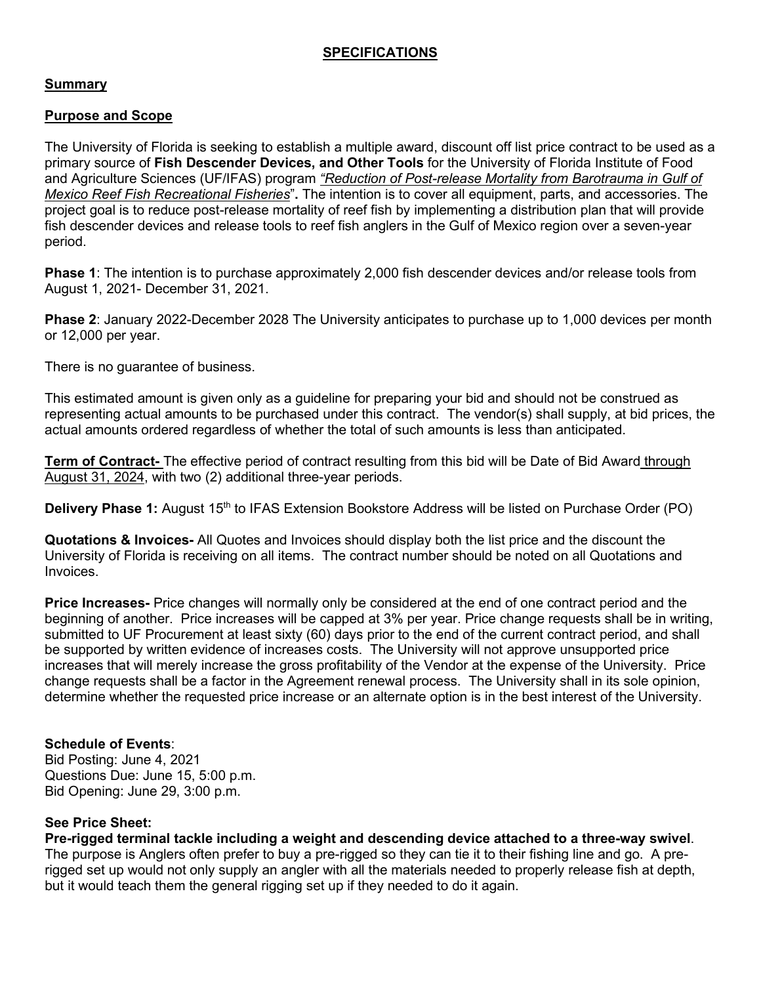# **SPECIFICATIONS**

## **Summary**

## **Purpose and Scope**

The University of Florida is seeking to establish a multiple award, discount off list price contract to be used as a primary source of **Fish Descender Devices, and Other Tools** for the University of Florida Institute of Food and Agriculture Sciences (UF/IFAS) program *"Reduction of Post-release Mortality from Barotrauma in Gulf of Mexico Reef Fish Recreational Fisheries*"**.** The intention is to cover all equipment, parts, and accessories. The project goal is to reduce post-release mortality of reef fish by implementing a distribution plan that will provide fish descender devices and release tools to reef fish anglers in the Gulf of Mexico region over a seven-year period.

**Phase 1**: The intention is to purchase approximately 2,000 fish descender devices and/or release tools from August 1, 2021- December 31, 2021.

**Phase 2**: January 2022-December 2028 The University anticipates to purchase up to 1,000 devices per month or 12,000 per year.

There is no guarantee of business.

This estimated amount is given only as a guideline for preparing your bid and should not be construed as representing actual amounts to be purchased under this contract. The vendor(s) shall supply, at bid prices, the actual amounts ordered regardless of whether the total of such amounts is less than anticipated.

**Term of Contract-** The effective period of contract resulting from this bid will be Date of Bid Award through August 31, 2024, with two (2) additional three-year periods.

**Delivery Phase 1:** August 15<sup>th</sup> to IFAS Extension Bookstore Address will be listed on Purchase Order (PO)

**Quotations & Invoices-** All Quotes and Invoices should display both the list price and the discount the University of Florida is receiving on all items. The contract number should be noted on all Quotations and Invoices.

**Price Increases-** Price changes will normally only be considered at the end of one contract period and the beginning of another. Price increases will be capped at 3% per year. Price change requests shall be in writing, submitted to UF Procurement at least sixty (60) days prior to the end of the current contract period, and shall be supported by written evidence of increases costs. The University will not approve unsupported price increases that will merely increase the gross profitability of the Vendor at the expense of the University. Price change requests shall be a factor in the Agreement renewal process. The University shall in its sole opinion, determine whether the requested price increase or an alternate option is in the best interest of the University.

## **Schedule of Events**:

Bid Posting: June 4, 2021 Questions Due: June 15, 5:00 p.m. Bid Opening: June 29, 3:00 p.m.

## **See Price Sheet:**

**Pre-rigged terminal tackle including a weight and descending device attached to a three-way swivel**. The purpose is Anglers often prefer to buy a pre-rigged so they can tie it to their fishing line and go. A prerigged set up would not only supply an angler with all the materials needed to properly release fish at depth, but it would teach them the general rigging set up if they needed to do it again.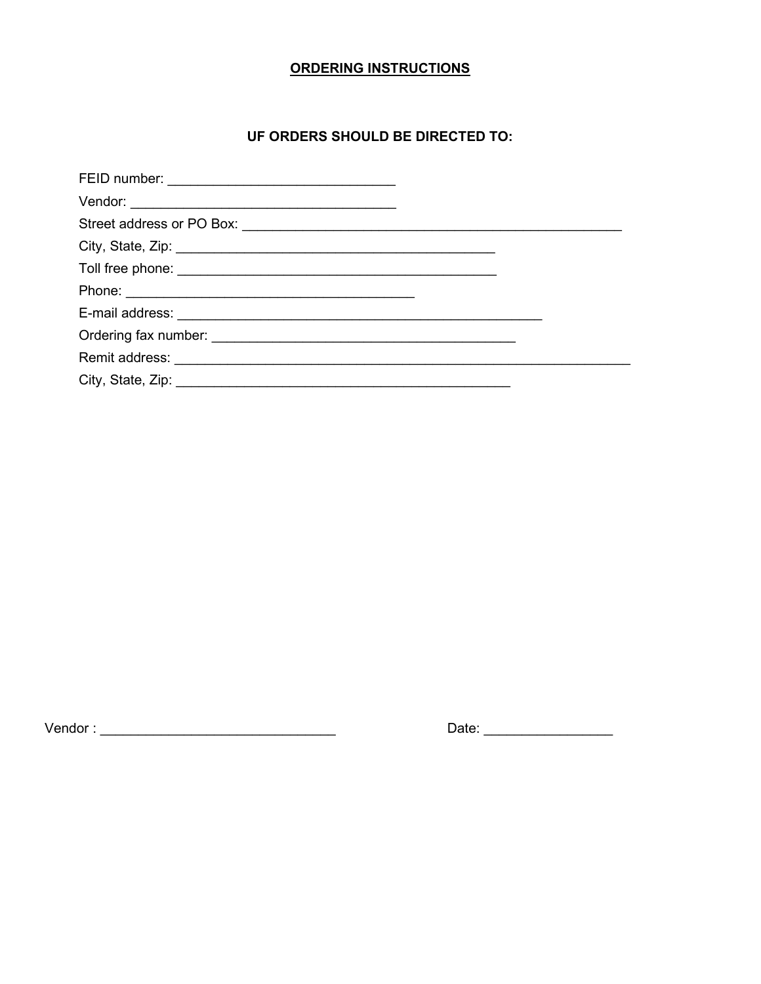# **ORDERING INSTRUCTIONS**

# UF ORDERS SHOULD BE DIRECTED TO:

| City, State, Zip: 2008. Experience of the State of Table 2008. The State of the State of Table 2008. |  |  |  |  |  |
|------------------------------------------------------------------------------------------------------|--|--|--|--|--|
|                                                                                                      |  |  |  |  |  |
|                                                                                                      |  |  |  |  |  |
|                                                                                                      |  |  |  |  |  |
|                                                                                                      |  |  |  |  |  |
|                                                                                                      |  |  |  |  |  |
|                                                                                                      |  |  |  |  |  |